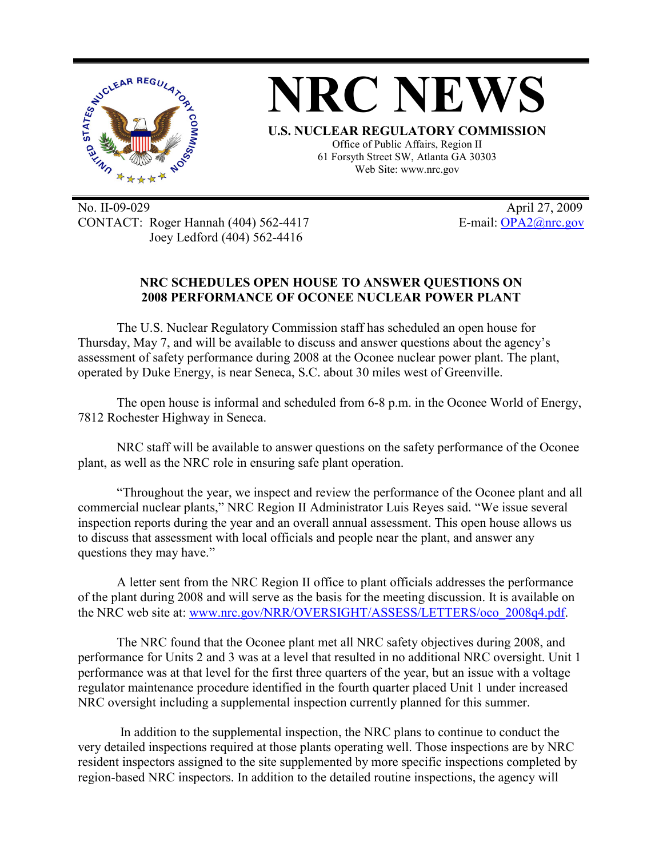

No. II-09-029 April 27, 2009 CONTACT: Roger Hannah (404) 562-4417 E-mail: OPA2@nrc.gov Joey Ledford (404) 562-4416

## **NRC SCHEDULES OPEN HOUSE TO ANSWER QUESTIONS ON 2008 PERFORMANCE OF OCONEE NUCLEAR POWER PLANT**

The U.S. Nuclear Regulatory Commission staff has scheduled an open house for Thursday, May 7, and will be available to discuss and answer questions about the agency's assessment of safety performance during 2008 at the Oconee nuclear power plant. The plant, operated by Duke Energy, is near Seneca, S.C. about 30 miles west of Greenville.

The open house is informal and scheduled from 6-8 p.m. in the Oconee World of Energy, 7812 Rochester Highway in Seneca.

NRC staff will be available to answer questions on the safety performance of the Oconee plant, as well as the NRC role in ensuring safe plant operation.

"Throughout the year, we inspect and review the performance of the Oconee plant and all commercial nuclear plants," NRC Region II Administrator Luis Reyes said. "We issue several inspection reports during the year and an overall annual assessment. This open house allows us to discuss that assessment with local officials and people near the plant, and answer any questions they may have."

A letter sent from the NRC Region II office to plant officials addresses the performance of the plant during 2008 and will serve as the basis for the meeting discussion. It is available on the NRC web site at: www.nrc.gov/NRR/OVERSIGHT/ASSESS/LETTERS/oco\_2008q4.pdf.

The NRC found that the Oconee plant met all NRC safety objectives during 2008, and performance for Units 2 and 3 was at a level that resulted in no additional NRC oversight. Unit 1 performance was at that level for the first three quarters of the year, but an issue with a voltage regulator maintenance procedure identified in the fourth quarter placed Unit 1 under increased NRC oversight including a supplemental inspection currently planned for this summer.

 In addition to the supplemental inspection, the NRC plans to continue to conduct the very detailed inspections required at those plants operating well. Those inspections are by NRC resident inspectors assigned to the site supplemented by more specific inspections completed by region-based NRC inspectors. In addition to the detailed routine inspections, the agency will